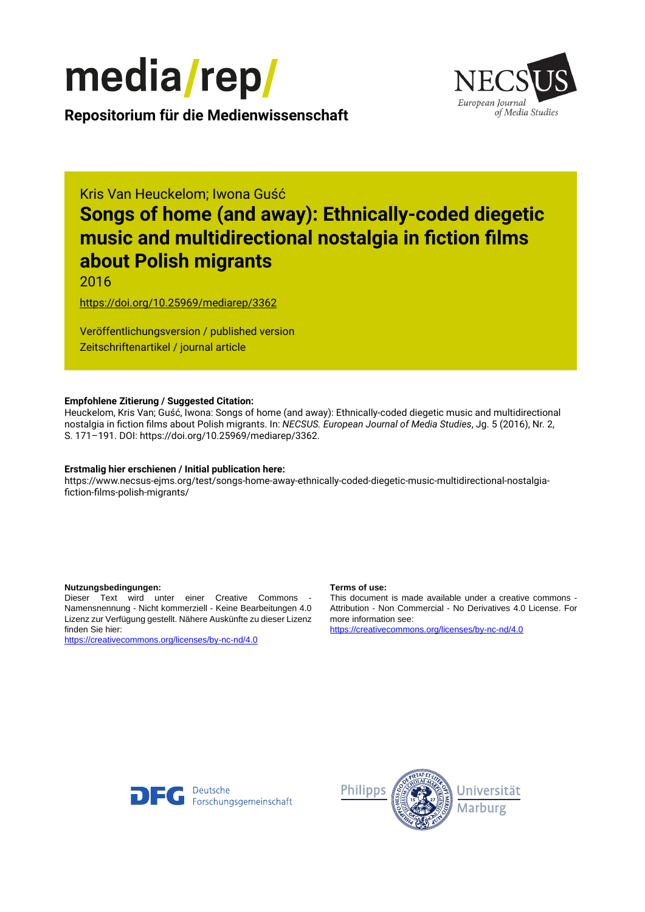



**Repositorium für die [Medienwissenschaft](https://mediarep.org)**

## Kris Van Heuckelom; Iwona Guść

# **Songs of home (and away): Ethnically-coded diegetic music and multidirectional nostalgia in fiction films about Polish migrants**

## 2016

<https://doi.org/10.25969/mediarep/3362>

Veröffentlichungsversion / published version Zeitschriftenartikel / journal article

#### **Empfohlene Zitierung / Suggested Citation:**

Heuckelom, Kris Van; Guść, Iwona: Songs of home (and away): Ethnically-coded diegetic music and multidirectional nostalgia in fiction films about Polish migrants. In: *NECSUS. European Journal of Media Studies*, Jg. 5 (2016), Nr. 2, S. 171–191. DOI: https://doi.org/10.25969/mediarep/3362.

#### **Erstmalig hier erschienen / Initial publication here:**

https://www.necsus-ejms.org/test/songs-home-away-ethnically-coded-diegetic-music-multidirectional-nostalgiafiction-films-polish-migrants/

#### **Nutzungsbedingungen: Terms of use:**

Dieser Text wird unter einer Creative Commons - Namensnennung - Nicht kommerziell - Keine Bearbeitungen 4.0 Lizenz zur Verfügung gestellt. Nähere Auskünfte zu dieser Lizenz finden Sie hier:

<https://creativecommons.org/licenses/by-nc-nd/4.0>

This document is made available under a creative commons - Attribution - Non Commercial - No Derivatives 4.0 License. For more information see:

<https://creativecommons.org/licenses/by-nc-nd/4.0>



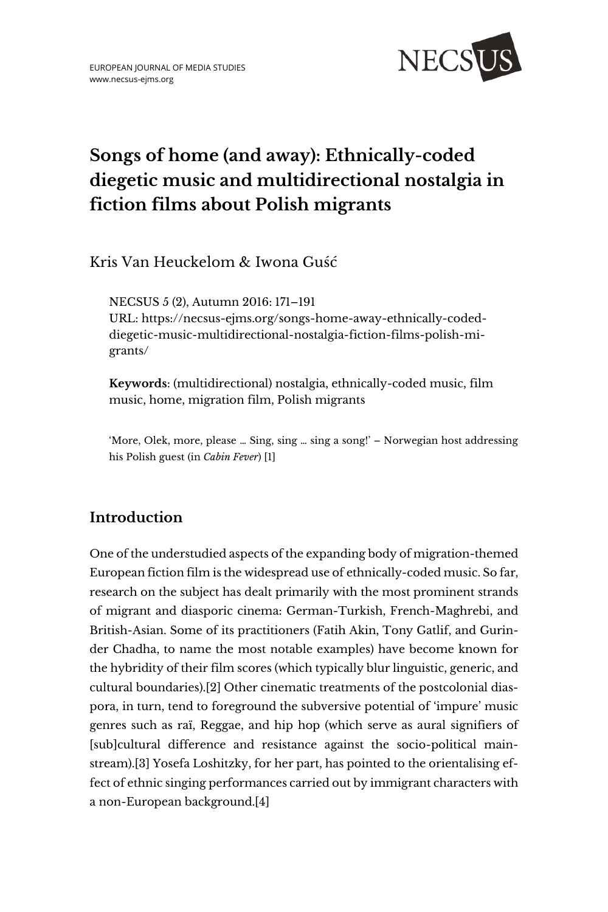

## **Songs of home (and away): Ethnically-coded diegetic music and multidirectional nostalgia in fiction films about Polish migrants**

Kris Van Heuckelom & Iwona Guść

NECSUS 5 (2), Autumn 2016: 171–191 URL: [https://necsus-ejms.org/songs-home-away-ethnically-coded](https://necsus-ejms.org/songs-home-away-ethnically-coded-diegetic-music-multidirectional-nostalgia-fiction-films-polish-migrants/)[diegetic-music-multidirectional-nostalgia-fiction-films-polish-mi](https://necsus-ejms.org/songs-home-away-ethnically-coded-diegetic-music-multidirectional-nostalgia-fiction-films-polish-migrants/)[grants/](https://necsus-ejms.org/songs-home-away-ethnically-coded-diegetic-music-multidirectional-nostalgia-fiction-films-polish-migrants/)

**Keywords**: [\(multidirectional\) nostalgia,](https://necsus-ejms.org/tag/multidirectional-nostalgia/) [ethnically-coded music,](https://necsus-ejms.org/tag/ethnically-coded-music/) [film](https://necsus-ejms.org/tag/film-music/)  [music,](https://necsus-ejms.org/tag/film-music/) [home,](https://necsus-ejms.org/tag/home/) [migration film,](https://necsus-ejms.org/tag/migration-film/) Polish [migrants](https://necsus-ejms.org/tag/polish-migrants/)

'More, Olek, more, please … Sing, sing … sing a song!' – Norwegian host addressing his Polish guest (in *Cabin Fever*) [1]

## **Introduction**

One of the understudied aspects of the expanding body of migration-themed European fiction film is the widespread use of ethnically-coded music. So far, research on the subject has dealt primarily with the most prominent strands of migrant and diasporic cinema: German-Turkish, French-Maghrebi, and British-Asian. Some of its practitioners (Fatih Akin, Tony Gatlif, and Gurinder Chadha, to name the most notable examples) have become known for the hybridity of their film scores (which typically blur linguistic, generic, and cultural boundaries).[2] Other cinematic treatments of the postcolonial diaspora, in turn, tend to foreground the subversive potential of 'impure' music genres such as raï, Reggae, and hip hop (which serve as aural signifiers of [sub]cultural difference and resistance against the socio-political mainstream).[3] Yosefa Loshitzky, for her part, has pointed to the orientalising effect of ethnic singing performances carried out by immigrant characters with a non-European background.[4]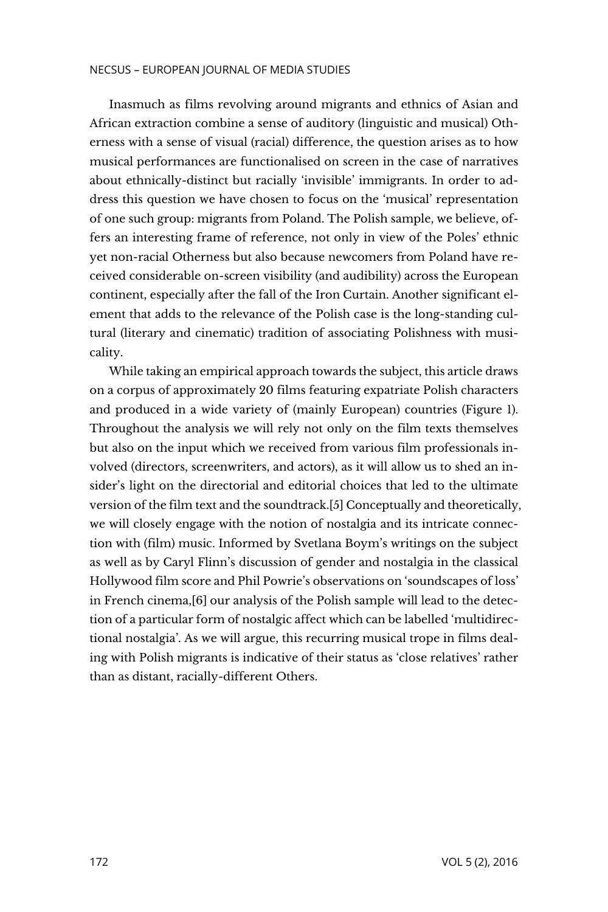Inasmuch as films revolving around migrants and ethnics of Asian and African extraction combine a sense of auditory (linguistic and musical) Otherness with a sense of visual (racial) difference, the question arises as to how musical performances are functionalised on screen in the case of narratives about ethnically-distinct but racially 'invisible' immigrants. In order to address this question we have chosen to focus on the 'musical' representation of one such group: migrants from Poland. The Polish sample, we believe, offers an interesting frame of reference, not only in view of the Poles' ethnic yet non-racial Otherness but also because newcomers from Poland have received considerable on-screen visibility (and audibility) across the European continent, especially after the fall of the Iron Curtain. Another significant element that adds to the relevance of the Polish case is the long-standing cultural (literary and cinematic) tradition of associating Polishness with musicality.

While taking an empirical approach towards the subject, this article draws on a corpus of approximately 20 films featuring expatriate Polish characters and produced in a wide variety of (mainly European) countries (Figure 1). Throughout the analysis we will rely not only on the film texts themselves but also on the input which we received from various film professionals involved (directors, screenwriters, and actors), as it will allow us to shed an insider's light on the directorial and editorial choices that led to the ultimate version of the film text and the soundtrack.[5] Conceptually and theoretically, we will closely engage with the notion of nostalgia and its intricate connection with (film) music. Informed by Svetlana Boym's writings on the subject as well as by Caryl Flinn's discussion of gender and nostalgia in the classical Hollywood film score and Phil Powrie's observations on 'soundscapes of loss' in French cinema,[6] our analysis of the Polish sample will lead to the detection of a particular form of nostalgic affect which can be labelled 'multidirectional nostalgia'. As we will argue, this recurring musical trope in films dealing with Polish migrants is indicative of their status as 'close relatives' rather than as distant, racially-different Others.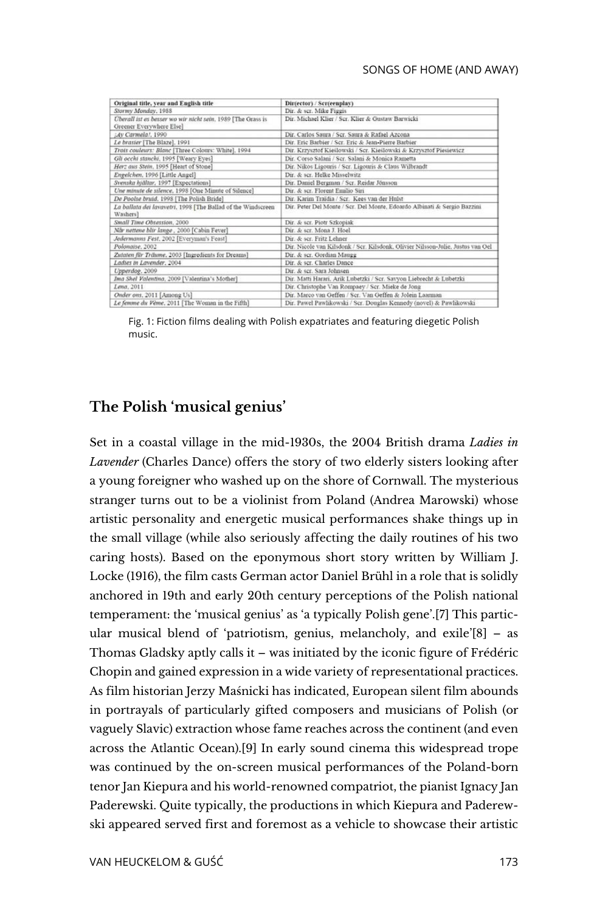| Original title, year and English title                                                  | Dir(ector) / Scr(eenplay)                                                       |
|-----------------------------------------------------------------------------------------|---------------------------------------------------------------------------------|
| Stormy Monday, 1988                                                                     | Dir. & scr. Mike Figgis                                                         |
| Überall ist es besser wo wir nicht sein. 1989 [The Grass is<br>Greener Everywhere Else] | Dir. Michael Klier / Scr. Klier & Gustaw Barwicki                               |
| (Av Carmela), 1990                                                                      | Dir. Carlos Saura / Scr. Saura & Rafael Azcona                                  |
| Le brasier [The Blaze], 1991                                                            | Dir. Eric Barbier / Scr. Eric & Jean-Pierre Barbier                             |
| Trois couleurs: Blanc [Three Colours: White], 1994                                      | Dir. Krzysztof Kieślowski / Scr. Kieślowski & Krzysztof Piesiewicz              |
| Gli occhi stanchi, 1995 [Weary Eyes]                                                    | Dir. Corso Salani / Scr. Salani & Monica Rametta                                |
| Herz aus Stein, 1995 [Heart of Stone]                                                   | Dir. Nikos Ligouris / Scr. Ligouris & Claus Wilbrandt                           |
| Engelchen, 1996 [Little Angel]                                                          | Dir. & scr. Helke Misselwitz                                                    |
| Svenska hjältar, 1997 [Expectations]                                                    | Dir. Daniel Bergman / Scr. Reidar Jönsson                                       |
| Une minute de silence, 1998 [One Minute of Silence]                                     | Dir. & scr. Florent Emilio Siri                                                 |
| De Poolse bruid, 1998 [The Polish Bride]                                                | Dir. Karim Traidia / Scr. Kees van der Hulst                                    |
| La ballata dei lavavetri, 1998 [The Ballad of the Windscreen<br>Washers]                | Dir. Peter Del Monte / Scr. Del Monte, Edoardo Albinati & Sergio Bazzini        |
| Small Time Obsession, 2000                                                              | Dir. & scr. Piotr Szkopiak                                                      |
| Når nettene blir lange, 2000 [Cabin Fever]                                              | Dir. & ser. Mona J. Hoel                                                        |
| Jedermanns Fest, 2002 [Everyman's Feast]                                                | Dir. & ser. Fritz Lehner                                                        |
| Polonaise, 2002                                                                         | Dir. Nicole van Kilsdonk / Scr. Kilsdonk, Olivier Nilsson-Julie, Justus van Oel |
| Zutaten für Träume, 2003 [Ingredients for Dreams]                                       | Dir. & scr. Gordian Maugg                                                       |
| Ladies in Lavender, 2004                                                                | Dir. & scr. Charles Dance                                                       |
| Upperdog, 2009                                                                          | Dir. & scr. Sara Johnsen                                                        |
| Ima Shel Valentina, 2009 [Valentina's Mother]                                           | Dir. Matti Harari, Arik Lubetzki / Scr. Savyon Liebrecht & Lubetzki             |
| Lena, 2011                                                                              | Dir. Christophe Van Rompaey / Scr. Mieke de Jong                                |
| Onder ons, 2011 [Among Us]                                                              | Dir. Marco van Geffen / Scr. Van Geffen & Jolein Laarman                        |
| Le femme du Vème, 2011 [The Woman in the Fifth]                                         | Dir. Paweł Pawlikowski / Scr. Douglas Kennedy (novel) & Pawlikowski             |

Fig. 1: Fiction films dealing with Polish expatriates and featuring diegetic Polish music.

#### **The Polish 'musical genius'**

Set in a coastal village in the mid-1930s, the 2004 British drama *Ladies in Lavender* (Charles Dance) offers the story of two elderly sisters looking after a young foreigner who washed up on the shore of Cornwall. The mysterious stranger turns out to be a violinist from Poland (Andrea Marowski) whose artistic personality and energetic musical performances shake things up in the small village (while also seriously affecting the daily routines of his two caring hosts). Based on the eponymous short story written by William J. Locke (1916), the film casts German actor Daniel Brühl in a role that is solidly anchored in 19th and early 20th century perceptions of the Polish national temperament: the 'musical genius' as 'a typically Polish gene'.[7] This particular musical blend of 'patriotism, genius, melancholy, and exile'[8] – as Thomas Gladsky aptly calls it – was initiated by the iconic figure of Frédéric Chopin and gained expression in a wide variety of representational practices. As film historian Jerzy Maśnicki has indicated, European silent film abounds in portrayals of particularly gifted composers and musicians of Polish (or vaguely Slavic) extraction whose fame reaches across the continent (and even across the Atlantic Ocean).[9] In early sound cinema this widespread trope was continued by the on-screen musical performances of the Poland-born tenor Jan Kiepura and his world-renowned compatriot, the pianist Ignacy Jan Paderewski. Quite typically, the productions in which Kiepura and Paderewski appeared served first and foremost as a vehicle to showcase their artistic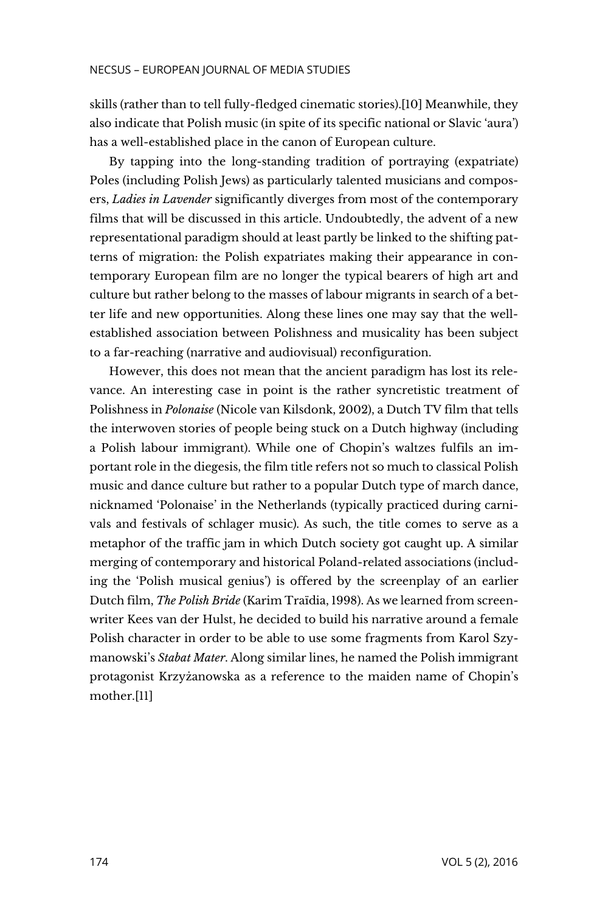skills (rather than to tell fully-fledged cinematic stories).[10] Meanwhile, they also indicate that Polish music (in spite of its specific national or Slavic 'aura') has a well-established place in the canon of European culture.

By tapping into the long-standing tradition of portraying (expatriate) Poles (including Polish Jews) as particularly talented musicians and composers, *Ladies in Lavender* significantly diverges from most of the contemporary films that will be discussed in this article. Undoubtedly, the advent of a new representational paradigm should at least partly be linked to the shifting patterns of migration: the Polish expatriates making their appearance in contemporary European film are no longer the typical bearers of high art and culture but rather belong to the masses of labour migrants in search of a better life and new opportunities. Along these lines one may say that the wellestablished association between Polishness and musicality has been subject to a far-reaching (narrative and audiovisual) reconfiguration.

However, this does not mean that the ancient paradigm has lost its relevance. An interesting case in point is the rather syncretistic treatment of Polishness in *Polonaise* (Nicole van Kilsdonk, 2002), a Dutch TV film that tells the interwoven stories of people being stuck on a Dutch highway (including a Polish labour immigrant). While one of Chopin's waltzes fulfils an important role in the diegesis, the film title refers not so much to classical Polish music and dance culture but rather to a popular Dutch type of march dance, nicknamed 'Polonaise' in the Netherlands (typically practiced during carnivals and festivals of schlager music). As such, the title comes to serve as a metaphor of the traffic jam in which Dutch society got caught up. A similar merging of contemporary and historical Poland-related associations (including the 'Polish musical genius') is offered by the screenplay of an earlier Dutch film, *The Polish Bride* (Karim Traïdia, 1998). As we learned from screenwriter Kees van der Hulst, he decided to build his narrative around a female Polish character in order to be able to use some fragments from Karol Szymanowski's *Stabat Mater*. Along similar lines, he named the Polish immigrant protagonist Krzyżanowska as a reference to the maiden name of Chopin's mother.[11]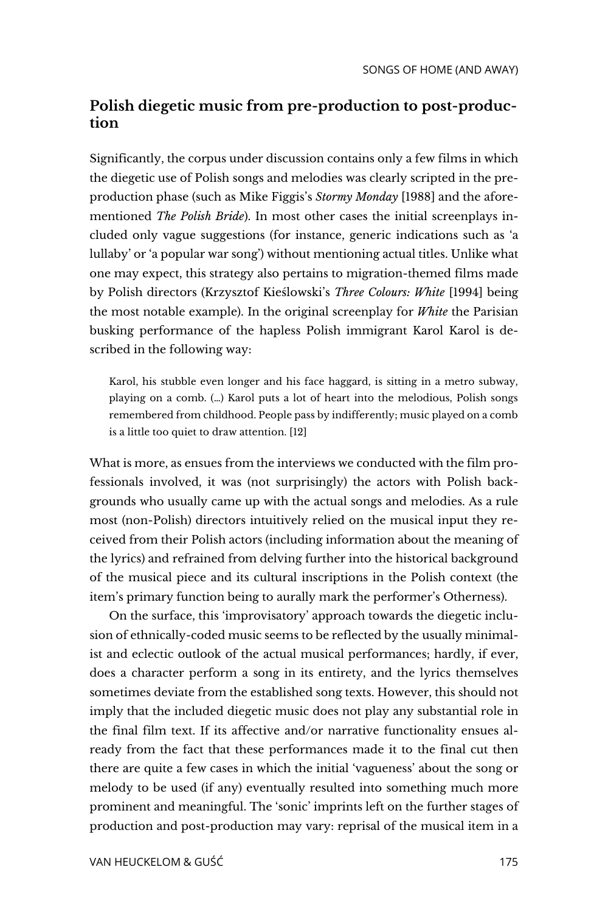## **Polish diegetic music from pre-production to post-production**

Significantly, the corpus under discussion contains only a few films in which the diegetic use of Polish songs and melodies was clearly scripted in the preproduction phase (such as Mike Figgis's *Stormy Monday* [1988] and the aforementioned *The Polish Bride*). In most other cases the initial screenplays included only vague suggestions (for instance, generic indications such as 'a lullaby' or 'a popular war song') without mentioning actual titles. Unlike what one may expect, this strategy also pertains to migration-themed films made by Polish directors (Krzysztof Kieślowski's *Three Colours: White* [1994] being the most notable example). In the original screenplay for *White* the Parisian busking performance of the hapless Polish immigrant Karol Karol is described in the following way:

Karol, his stubble even longer and his face haggard, is sitting in a metro subway, playing on a comb. (…) Karol puts a lot of heart into the melodious, Polish songs remembered from childhood. People pass by indifferently; music played on a comb is a little too quiet to draw attention. [12]

What is more, as ensues from the interviews we conducted with the film professionals involved, it was (not surprisingly) the actors with Polish backgrounds who usually came up with the actual songs and melodies. As a rule most (non-Polish) directors intuitively relied on the musical input they received from their Polish actors (including information about the meaning of the lyrics) and refrained from delving further into the historical background of the musical piece and its cultural inscriptions in the Polish context (the item's primary function being to aurally mark the performer's Otherness).

On the surface, this 'improvisatory' approach towards the diegetic inclusion of ethnically-coded music seems to be reflected by the usually minimalist and eclectic outlook of the actual musical performances; hardly, if ever, does a character perform a song in its entirety, and the lyrics themselves sometimes deviate from the established song texts. However, this should not imply that the included diegetic music does not play any substantial role in the final film text. If its affective and/or narrative functionality ensues already from the fact that these performances made it to the final cut then there are quite a few cases in which the initial 'vagueness' about the song or melody to be used (if any) eventually resulted into something much more prominent and meaningful. The 'sonic' imprints left on the further stages of production and post-production may vary: reprisal of the musical item in a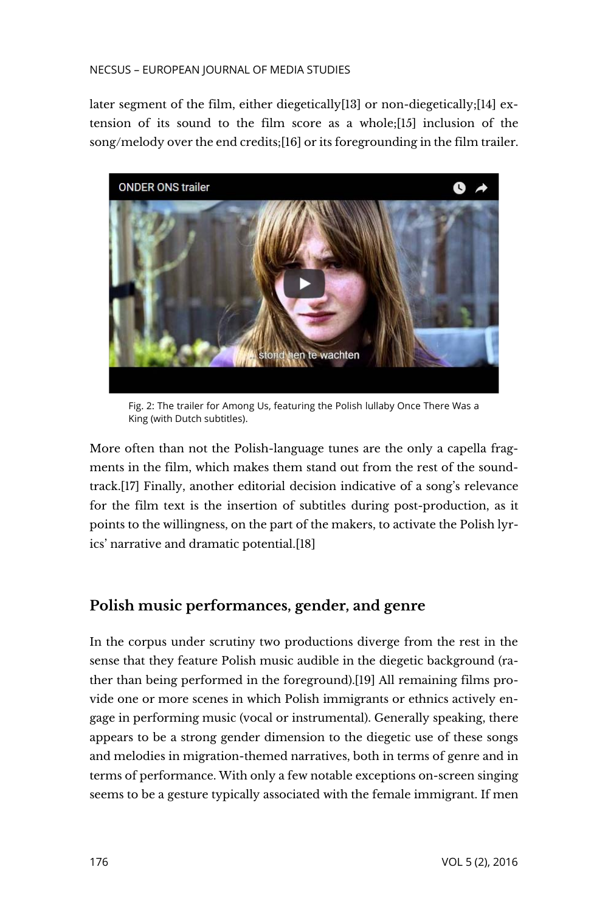#### NECSUS – EUROPEAN JOURNAL OF MEDIA STUDIES

later segment of the film, either diegetically[13] or non-diegetically;[14] extension of its sound to the film score as a whole;[15] inclusion of the song/melody over the end credits;[16] or its foregrounding in the film trailer.



Fig. 2: The trailer for Among Us, featuring the Polish lullaby Once There Was a King (with Dutch subtitles).

More often than not the Polish-language tunes are the only a capella fragments in the film, which makes them stand out from the rest of the soundtrack[.\[17\]](https://necsus-ejms.org/songs-home-away-ethnically-coded-diegetic-music-multidirectional-nostalgia-fiction-films-polish-migrants/#_edn17) Finally, another editorial decision indicative of a song's relevance for the film text is the insertion of subtitles during post-production, as it points to the willingness, on the part of the makers, to activate the Polish lyrics' narrative and dramatic potential[.\[18\]](https://necsus-ejms.org/songs-home-away-ethnically-coded-diegetic-music-multidirectional-nostalgia-fiction-films-polish-migrants/#_edn18)

## **Polish music performances, gender, and genre**

In the corpus under scrutiny two productions diverge from the rest in the sense that they feature Polish music audible in the diegetic background (rather than being performed in the foreground).[19] All remaining films provide one or more scenes in which Polish immigrants or ethnics actively engage in performing music (vocal or instrumental). Generally speaking, there appears to be a strong gender dimension to the diegetic use of these songs and melodies in migration-themed narratives, both in terms of genre and in terms of performance. With only a few notable exceptions on-screen singing seems to be a gesture typically associated with the female immigrant. If men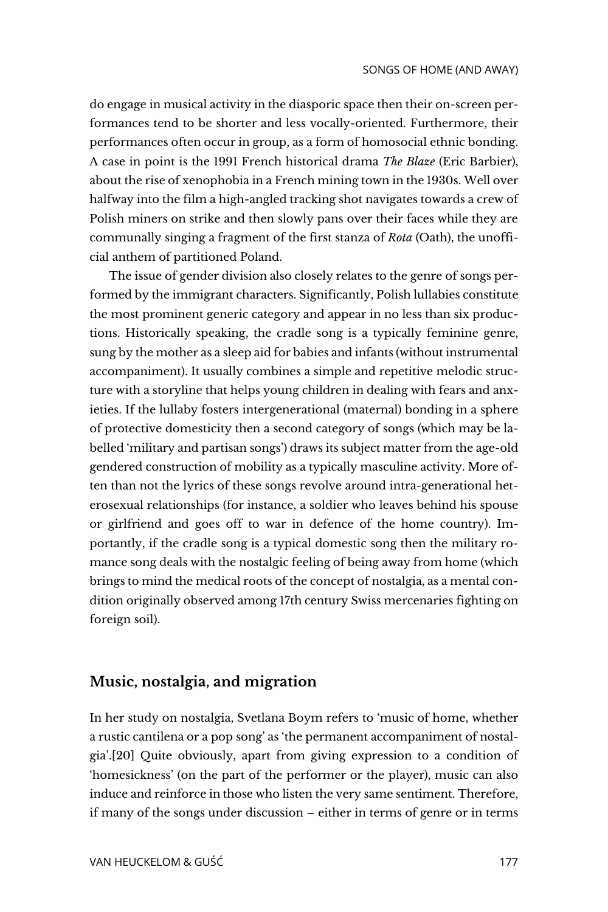do engage in musical activity in the diasporic space then their on-screen performances tend to be shorter and less vocally-oriented. Furthermore, their performances often occur in group, as a form of homosocial ethnic bonding. A case in point is the 1991 French historical drama *The Blaze* (Eric Barbier), about the rise of xenophobia in a French mining town in the 1930s. Well over halfway into the film a high-angled tracking shot navigates towards a crew of Polish miners on strike and then slowly pans over their faces while they are communally singing a fragment of the first stanza of *Rota* (Oath), the unofficial anthem of partitioned Poland.

The issue of gender division also closely relates to the genre of songs performed by the immigrant characters. Significantly, Polish lullabies constitute the most prominent generic category and appear in no less than six productions. Historically speaking, the cradle song is a typically feminine genre, sung by the mother as a sleep aid for babies and infants (without instrumental accompaniment). It usually combines a simple and repetitive melodic structure with a storyline that helps young children in dealing with fears and anxieties. If the lullaby fosters intergenerational (maternal) bonding in a sphere of protective domesticity then a second category of songs (which may be labelled 'military and partisan songs') draws its subject matter from the age-old gendered construction of mobility as a typically masculine activity. More often than not the lyrics of these songs revolve around intra-generational heterosexual relationships (for instance, a soldier who leaves behind his spouse or girlfriend and goes off to war in defence of the home country). Importantly, if the cradle song is a typical domestic song then the military romance song deals with the nostalgic feeling of being away from home (which brings to mind the medical roots of the concept of nostalgia, as a mental condition originally observed among 17th century Swiss mercenaries fighting on foreign soil).

## **Music, nostalgia, and migration**

In her study on nostalgia, Svetlana Boym refers to 'music of home, whether a rustic cantilena or a pop song' as 'the permanent accompaniment of nostalgia'.[20] Quite obviously, apart from giving expression to a condition of 'homesickness' (on the part of the performer or the player), music can also induce and reinforce in those who listen the very same sentiment. Therefore, if many of the songs under discussion – either in terms of genre or in terms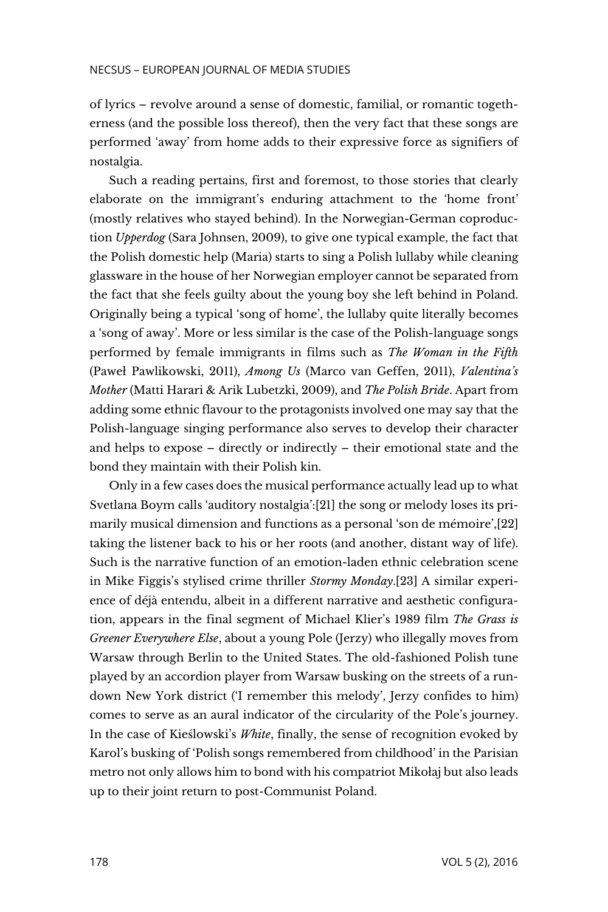of lyrics – revolve around a sense of domestic, familial, or romantic togetherness (and the possible loss thereof), then the very fact that these songs are performed 'away' from home adds to their expressive force as signifiers of nostalgia.

Such a reading pertains, first and foremost, to those stories that clearly elaborate on the immigrant's enduring attachment to the 'home front' (mostly relatives who stayed behind). In the Norwegian-German coproduction *Upperdog* (Sara Johnsen, 2009), to give one typical example, the fact that the Polish domestic help (Maria) starts to sing a Polish lullaby while cleaning glassware in the house of her Norwegian employer cannot be separated from the fact that she feels guilty about the young boy she left behind in Poland. Originally being a typical 'song of home', the lullaby quite literally becomes a 'song of away'. More or less similar is the case of the Polish-language songs performed by female immigrants in films such as *The Woman in the Fifth* (Paweł Pawlikowski, 2011), *Among Us* (Marco van Geffen, 2011), *Valentina's Mother* (Matti Harari & Arik Lubetzki, 2009), and *The Polish Bride*. Apart from adding some ethnic flavour to the protagonists involved one may say that the Polish-language singing performance also serves to develop their character and helps to expose – directly or indirectly – their emotional state and the bond they maintain with their Polish kin.

Only in a few cases does the musical performance actually lead up to what Svetlana Boym calls 'auditory nostalgia':[21] the song or melody loses its primarily musical dimension and functions as a personal 'son de mémoire',[22] taking the listener back to his or her roots (and another, distant way of life). Such is the narrative function of an emotion-laden ethnic celebration scene in Mike Figgis's stylised crime thriller *Stormy Monday*.[23] A similar experience of déjà entendu, albeit in a different narrative and aesthetic configuration, appears in the final segment of Michael Klier's 1989 film *The Grass is Greener Everywhere Else*, about a young Pole (Jerzy) who illegally moves from Warsaw through Berlin to the United States. The old-fashioned Polish tune played by an accordion player from Warsaw busking on the streets of a rundown New York district ('I remember this melody', Jerzy confides to him) comes to serve as an aural indicator of the circularity of the Pole's journey. In the case of Kieślowski's *White*, finally, the sense of recognition evoked by Karol's busking of 'Polish songs remembered from childhood' in the Parisian metro not only allows him to bond with his compatriot Mikołaj but also leads up to their joint return to post-Communist Poland.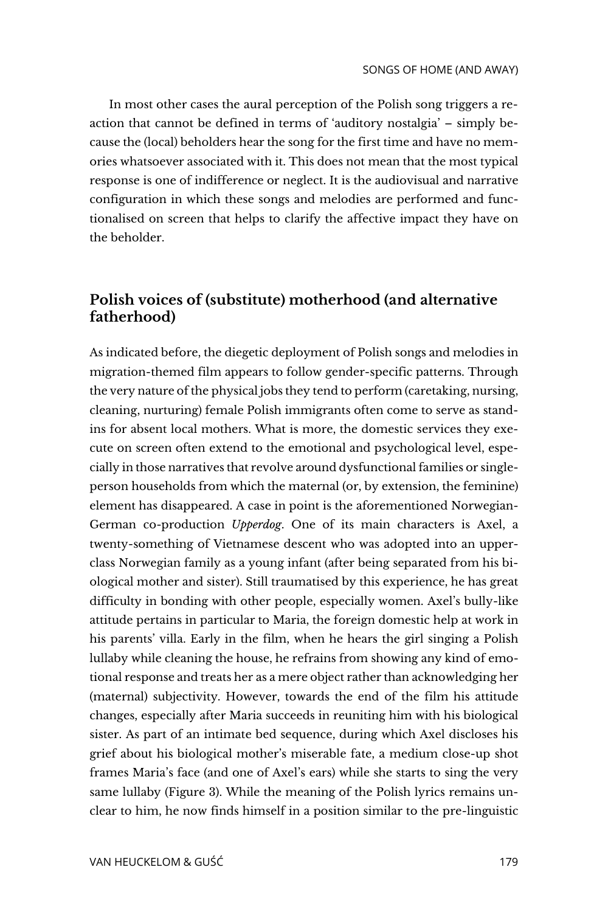In most other cases the aural perception of the Polish song triggers a reaction that cannot be defined in terms of 'auditory nostalgia' – simply because the (local) beholders hear the song for the first time and have no memories whatsoever associated with it. This does not mean that the most typical response is one of indifference or neglect. It is the audiovisual and narrative configuration in which these songs and melodies are performed and functionalised on screen that helps to clarify the affective impact they have on the beholder.

## **Polish voices of (substitute) motherhood (and alternative fatherhood)**

As indicated before, the diegetic deployment of Polish songs and melodies in migration-themed film appears to follow gender-specific patterns. Through the very nature of the physical jobs they tend to perform (caretaking, nursing, cleaning, nurturing) female Polish immigrants often come to serve as standins for absent local mothers. What is more, the domestic services they execute on screen often extend to the emotional and psychological level, especially in those narratives that revolve around dysfunctional families or singleperson households from which the maternal (or, by extension, the feminine) element has disappeared. A case in point is the aforementioned Norwegian-German co-production *Upperdog*. One of its main characters is Axel, a twenty-something of Vietnamese descent who was adopted into an upperclass Norwegian family as a young infant (after being separated from his biological mother and sister). Still traumatised by this experience, he has great difficulty in bonding with other people, especially women. Axel's bully-like attitude pertains in particular to Maria, the foreign domestic help at work in his parents' villa. Early in the film, when he hears the girl singing a Polish lullaby while cleaning the house, he refrains from showing any kind of emotional response and treats her as a mere object rather than acknowledging her (maternal) subjectivity. However, towards the end of the film his attitude changes, especially after Maria succeeds in reuniting him with his biological sister. As part of an intimate bed sequence, during which Axel discloses his grief about his biological mother's miserable fate, a medium close-up shot frames Maria's face (and one of Axel's ears) while she starts to sing the very same lullaby (Figure 3). While the meaning of the Polish lyrics remains unclear to him, he now finds himself in a position similar to the pre-linguistic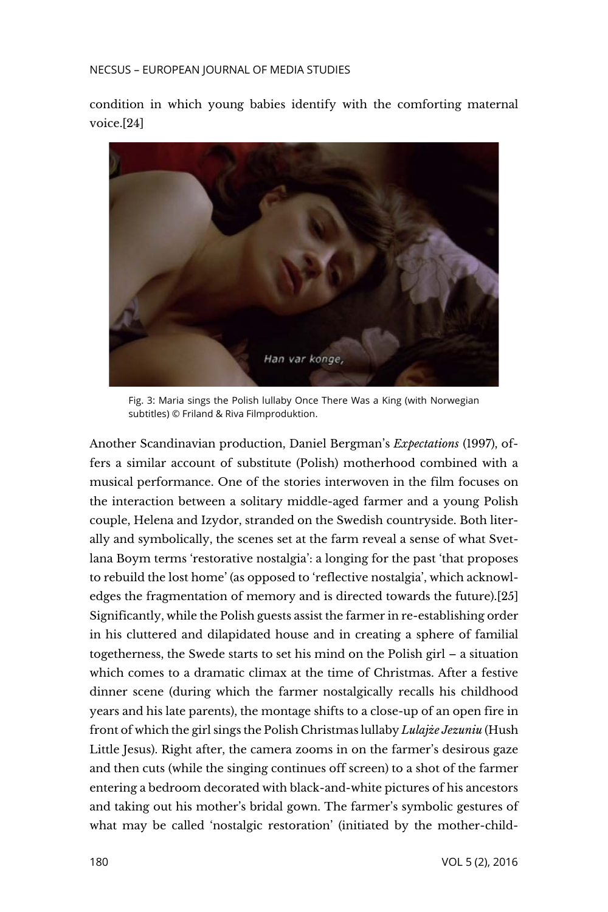#### NECSUS – EUROPEAN JOURNAL OF MEDIA STUDIES

condition in which young babies identify with the comforting maternal voice.[24]



Fig. 3: Maria sings the Polish lullaby Once There Was a King (with Norwegian subtitles) © Friland & Riva Filmproduktion.

Another Scandinavian production, Daniel Bergman's *Expectations* (1997), offers a similar account of substitute (Polish) motherhood combined with a musical performance. One of the stories interwoven in the film focuses on the interaction between a solitary middle-aged farmer and a young Polish couple, Helena and Izydor, stranded on the Swedish countryside. Both literally and symbolically, the scenes set at the farm reveal a sense of what Svetlana Boym terms 'restorative nostalgia': a longing for the past 'that proposes to rebuild the lost home' (as opposed to 'reflective nostalgia', which acknowledges the fragmentation of memory and is directed towards the future).[25] Significantly, while the Polish guests assist the farmer in re-establishing order in his cluttered and dilapidated house and in creating a sphere of familial togetherness, the Swede starts to set his mind on the Polish girl – a situation which comes to a dramatic climax at the time of Christmas. After a festive dinner scene (during which the farmer nostalgically recalls his childhood years and his late parents), the montage shifts to a close-up of an open fire in front of which the girl sings the Polish Christmas lullaby *Lulajże Jezuniu* (Hush Little Jesus). Right after, the camera zooms in on the farmer's desirous gaze and then cuts (while the singing continues off screen) to a shot of the farmer entering a bedroom decorated with black-and-white pictures of his ancestors and taking out his mother's bridal gown. The farmer's symbolic gestures of what may be called 'nostalgic restoration' (initiated by the mother-child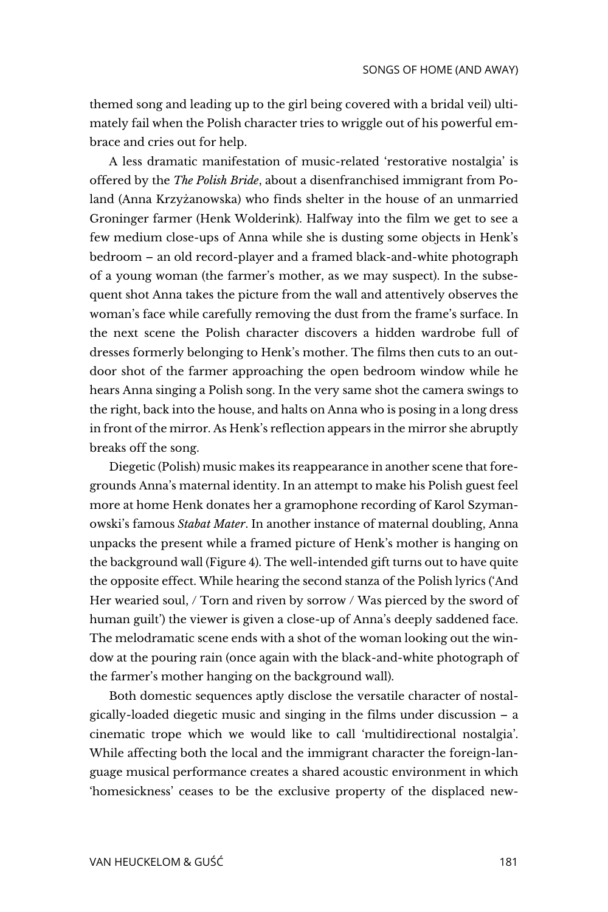themed song and leading up to the girl being covered with a bridal veil) ultimately fail when the Polish character tries to wriggle out of his powerful embrace and cries out for help.

A less dramatic manifestation of music-related 'restorative nostalgia' is offered by the *The Polish Bride*, about a disenfranchised immigrant from Poland (Anna Krzyżanowska) who finds shelter in the house of an unmarried Groninger farmer (Henk Wolderink). Halfway into the film we get to see a few medium close-ups of Anna while she is dusting some objects in Henk's bedroom – an old record-player and a framed black-and-white photograph of a young woman (the farmer's mother, as we may suspect). In the subsequent shot Anna takes the picture from the wall and attentively observes the woman's face while carefully removing the dust from the frame's surface. In the next scene the Polish character discovers a hidden wardrobe full of dresses formerly belonging to Henk's mother. The films then cuts to an outdoor shot of the farmer approaching the open bedroom window while he hears Anna singing a Polish song. In the very same shot the camera swings to the right, back into the house, and halts on Anna who is posing in a long dress in front of the mirror. As Henk's reflection appears in the mirror she abruptly breaks off the song.

Diegetic (Polish) music makes its reappearance in another scene that foregrounds Anna's maternal identity. In an attempt to make his Polish guest feel more at home Henk donates her a gramophone recording of Karol Szymanowski's famous *Stabat Mater*. In another instance of maternal doubling, Anna unpacks the present while a framed picture of Henk's mother is hanging on the background wall (Figure 4). The well-intended gift turns out to have quite the opposite effect. While hearing the second stanza of the Polish lyrics ('And Her wearied soul, / Torn and riven by sorrow / Was pierced by the sword of human guilt') the viewer is given a close-up of Anna's deeply saddened face. The melodramatic scene ends with a shot of the woman looking out the window at the pouring rain (once again with the black-and-white photograph of the farmer's mother hanging on the background wall).

Both domestic sequences aptly disclose the versatile character of nostalgically-loaded diegetic music and singing in the films under discussion – a cinematic trope which we would like to call 'multidirectional nostalgia'. While affecting both the local and the immigrant character the foreign-language musical performance creates a shared acoustic environment in which 'homesickness' ceases to be the exclusive property of the displaced new-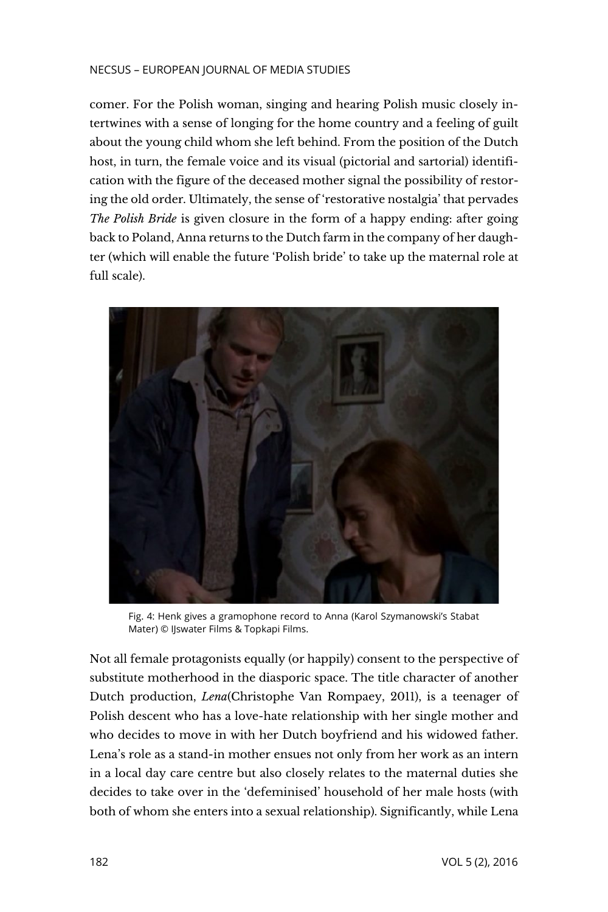#### NECSUS – EUROPEAN JOURNAL OF MEDIA STUDIES

comer. For the Polish woman, singing and hearing Polish music closely intertwines with a sense of longing for the home country and a feeling of guilt about the young child whom she left behind. From the position of the Dutch host, in turn, the female voice and its visual (pictorial and sartorial) identification with the figure of the deceased mother signal the possibility of restoring the old order. Ultimately, the sense of 'restorative nostalgia' that pervades *The Polish Bride* is given closure in the form of a happy ending: after going back to Poland, Anna returns to the Dutch farm in the company of her daughter (which will enable the future 'Polish bride' to take up the maternal role at full scale).



Fig. 4: Henk gives a gramophone record to Anna (Karol Szymanowski's Stabat Mater) © IJswater Films & Topkapi Films.

Not all female protagonists equally (or happily) consent to the perspective of substitute motherhood in the diasporic space. The title character of another Dutch production, *Lena*(Christophe Van Rompaey, 2011), is a teenager of Polish descent who has a love-hate relationship with her single mother and who decides to move in with her Dutch boyfriend and his widowed father. Lena's role as a stand-in mother ensues not only from her work as an intern in a local day care centre but also closely relates to the maternal duties she decides to take over in the 'defeminised' household of her male hosts (with both of whom she enters into a sexual relationship). Significantly, while Lena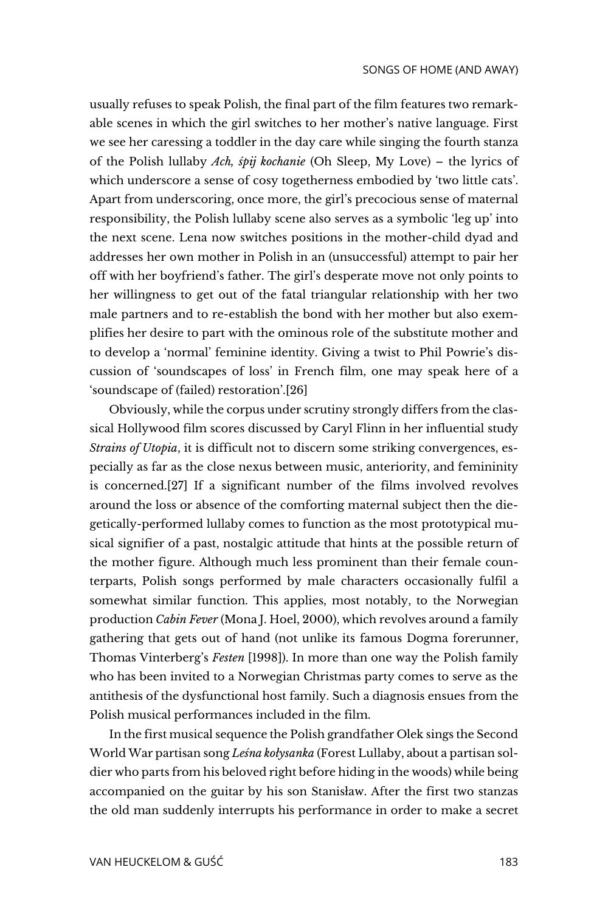usually refuses to speak Polish, the final part of the film features two remarkable scenes in which the girl switches to her mother's native language. First we see her caressing a toddler in the day care while singing the fourth stanza of the Polish lullaby *Ach, śpij kochanie* (Oh Sleep, My Love) – the lyrics of which underscore a sense of cosy togetherness embodied by 'two little cats'. Apart from underscoring, once more, the girl's precocious sense of maternal responsibility, the Polish lullaby scene also serves as a symbolic 'leg up' into the next scene. Lena now switches positions in the mother-child dyad and addresses her own mother in Polish in an (unsuccessful) attempt to pair her off with her boyfriend's father. The girl's desperate move not only points to her willingness to get out of the fatal triangular relationship with her two male partners and to re-establish the bond with her mother but also exemplifies her desire to part with the ominous role of the substitute mother and to develop a 'normal' feminine identity. Giving a twist to Phil Powrie's discussion of 'soundscapes of loss' in French film, one may speak here of a 'soundscape of (failed) restoration'.[26]

Obviously, while the corpus under scrutiny strongly differs from the classical Hollywood film scores discussed by Caryl Flinn in her influential study *Strains of Utopia*, it is difficult not to discern some striking convergences, especially as far as the close nexus between music, anteriority, and femininity is concerned.[27] If a significant number of the films involved revolves around the loss or absence of the comforting maternal subject then the diegetically-performed lullaby comes to function as the most prototypical musical signifier of a past, nostalgic attitude that hints at the possible return of the mother figure. Although much less prominent than their female counterparts, Polish songs performed by male characters occasionally fulfil a somewhat similar function. This applies, most notably, to the Norwegian production *Cabin Fever* (Mona J. Hoel, 2000), which revolves around a family gathering that gets out of hand (not unlike its famous Dogma forerunner, Thomas Vinterberg's *Festen* [1998]). In more than one way the Polish family who has been invited to a Norwegian Christmas party comes to serve as the antithesis of the dysfunctional host family. Such a diagnosis ensues from the Polish musical performances included in the film.

In the first musical sequence the Polish grandfather Olek sings the Second World War partisan song *Leśna kołysanka* (Forest Lullaby, about a partisan soldier who parts from his beloved right before hiding in the woods) while being accompanied on the guitar by his son Stanisław. After the first two stanzas the old man suddenly interrupts his performance in order to make a secret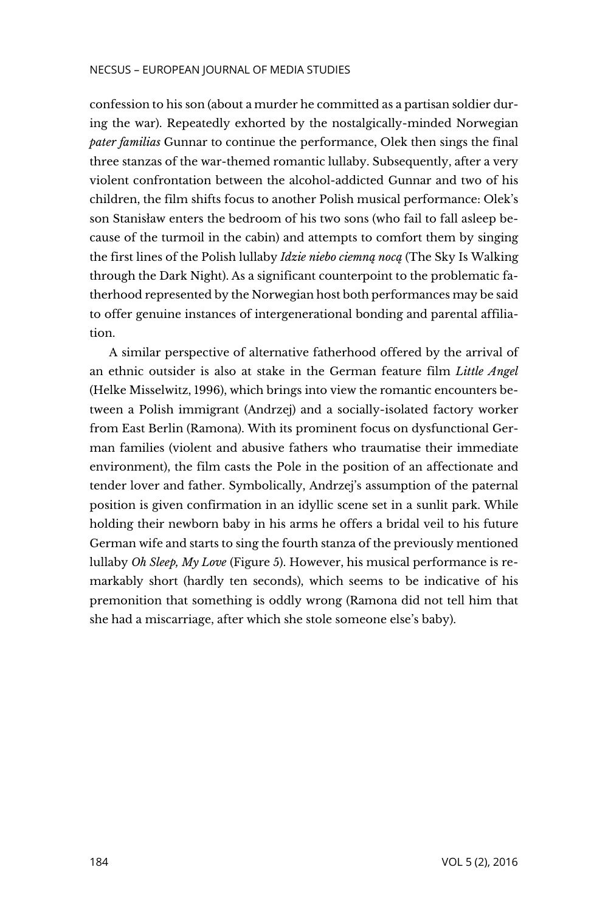confession to his son (about a murder he committed as a partisan soldier during the war). Repeatedly exhorted by the nostalgically-minded Norwegian *pater familias* Gunnar to continue the performance, Olek then sings the final three stanzas of the war-themed romantic lullaby. Subsequently, after a very violent confrontation between the alcohol-addicted Gunnar and two of his children, the film shifts focus to another Polish musical performance: Olek's son Stanisław enters the bedroom of his two sons (who fail to fall asleep because of the turmoil in the cabin) and attempts to comfort them by singing the first lines of the Polish lullaby *Idzie niebo ciemną nocą* (The Sky Is Walking through the Dark Night). As a significant counterpoint to the problematic fatherhood represented by the Norwegian host both performances may be said to offer genuine instances of intergenerational bonding and parental affiliation.

A similar perspective of alternative fatherhood offered by the arrival of an ethnic outsider is also at stake in the German feature film *Little Angel* (Helke Misselwitz, 1996), which brings into view the romantic encounters between a Polish immigrant (Andrzej) and a socially-isolated factory worker from East Berlin (Ramona). With its prominent focus on dysfunctional German families (violent and abusive fathers who traumatise their immediate environment), the film casts the Pole in the position of an affectionate and tender lover and father. Symbolically, Andrzej's assumption of the paternal position is given confirmation in an idyllic scene set in a sunlit park. While holding their newborn baby in his arms he offers a bridal veil to his future German wife and starts to sing the fourth stanza of the previously mentioned lullaby *Oh Sleep, My Love* (Figure 5). However, his musical performance is remarkably short (hardly ten seconds), which seems to be indicative of his premonition that something is oddly wrong (Ramona did not tell him that she had a miscarriage, after which she stole someone else's baby).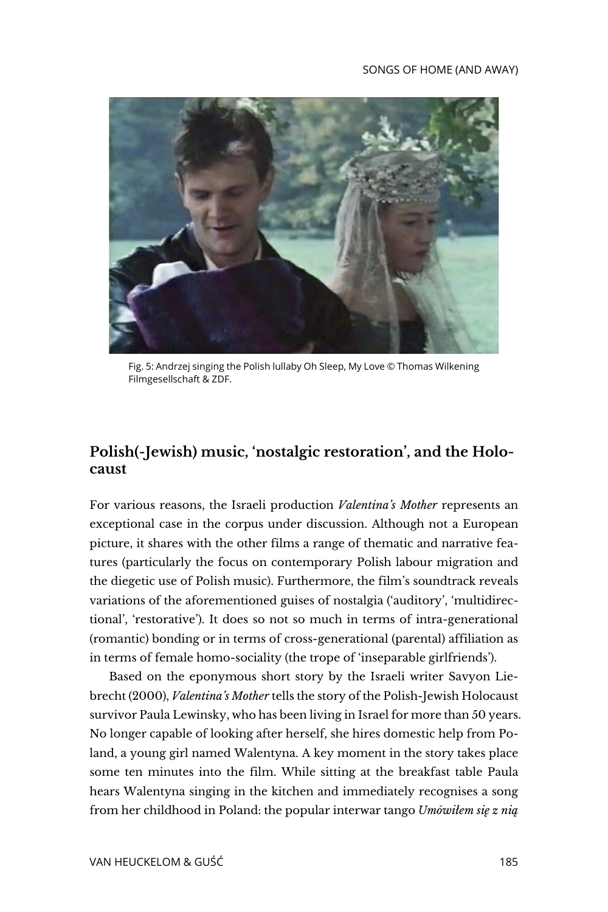

Fig. 5: Andrzej singing the Polish lullaby Oh Sleep, My Love © Thomas Wilkening Filmgesellschaft & ZDF.

## **Polish(-Jewish) music, 'nostalgic restoration', and the Holocaust**

For various reasons, the Israeli production *Valentina's Mother* represents an exceptional case in the corpus under discussion. Although not a European picture, it shares with the other films a range of thematic and narrative features (particularly the focus on contemporary Polish labour migration and the diegetic use of Polish music). Furthermore, the film's soundtrack reveals variations of the aforementioned guises of nostalgia ('auditory', 'multidirectional', 'restorative'). It does so not so much in terms of intra-generational (romantic) bonding or in terms of cross-generational (parental) affiliation as in terms of female homo-sociality (the trope of 'inseparable girlfriends').

Based on the eponymous short story by the Israeli writer Savyon Liebrecht (2000), *Valentina's Mother* tells the story of the Polish-Jewish Holocaust survivor Paula Lewinsky, who has been living in Israel for more than 50 years. No longer capable of looking after herself, she hires domestic help from Poland, a young girl named Walentyna. A key moment in the story takes place some ten minutes into the film. While sitting at the breakfast table Paula hears Walentyna singing in the kitchen and immediately recognises a song from her childhood in Poland: the popular interwar tango *Umówiłem się z nią*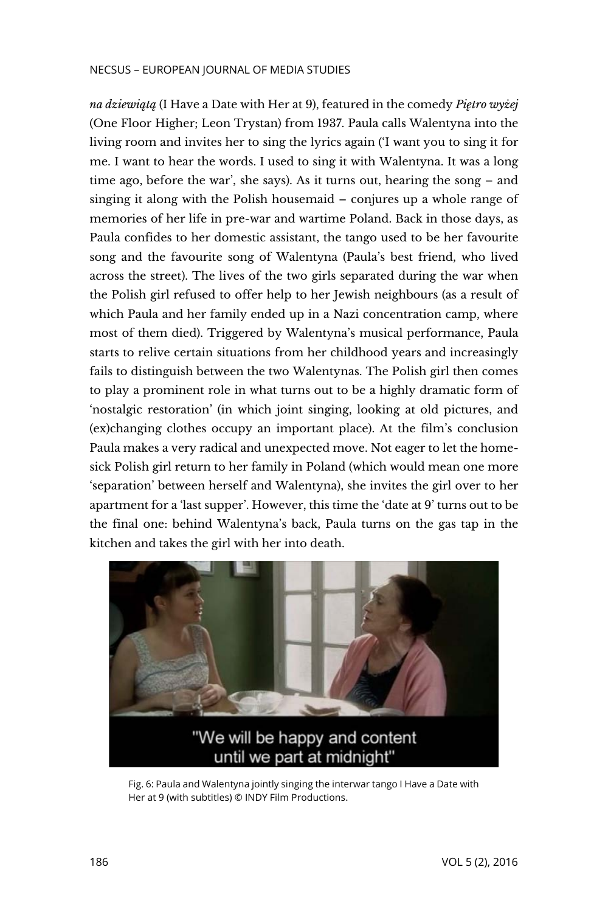*na dziewiątą* (I Have a Date with Her at 9), featured in the comedy *Piętro wyżej* (One Floor Higher; Leon Trystan) from 1937. Paula calls Walentyna into the living room and invites her to sing the lyrics again ('I want you to sing it for me. I want to hear the words. I used to sing it with Walentyna. It was a long time ago, before the war', she says). As it turns out, hearing the song – and singing it along with the Polish housemaid – conjures up a whole range of memories of her life in pre-war and wartime Poland. Back in those days, as Paula confides to her domestic assistant, the tango used to be her favourite song and the favourite song of Walentyna (Paula's best friend, who lived across the street). The lives of the two girls separated during the war when the Polish girl refused to offer help to her Jewish neighbours (as a result of which Paula and her family ended up in a Nazi concentration camp, where most of them died). Triggered by Walentyna's musical performance, Paula starts to relive certain situations from her childhood years and increasingly fails to distinguish between the two Walentynas. The Polish girl then comes to play a prominent role in what turns out to be a highly dramatic form of 'nostalgic restoration' (in which joint singing, looking at old pictures, and (ex)changing clothes occupy an important place). At the film's conclusion Paula makes a very radical and unexpected move. Not eager to let the homesick Polish girl return to her family in Poland (which would mean one more 'separation' between herself and Walentyna), she invites the girl over to her apartment for a 'last supper'. However, this time the 'date at 9' turns out to be the final one: behind Walentyna's back, Paula turns on the gas tap in the kitchen and takes the girl with her into death.



Fig. 6: Paula and Walentyna jointly singing the interwar tango I Have a Date with Her at 9 (with subtitles) © INDY Film Productions.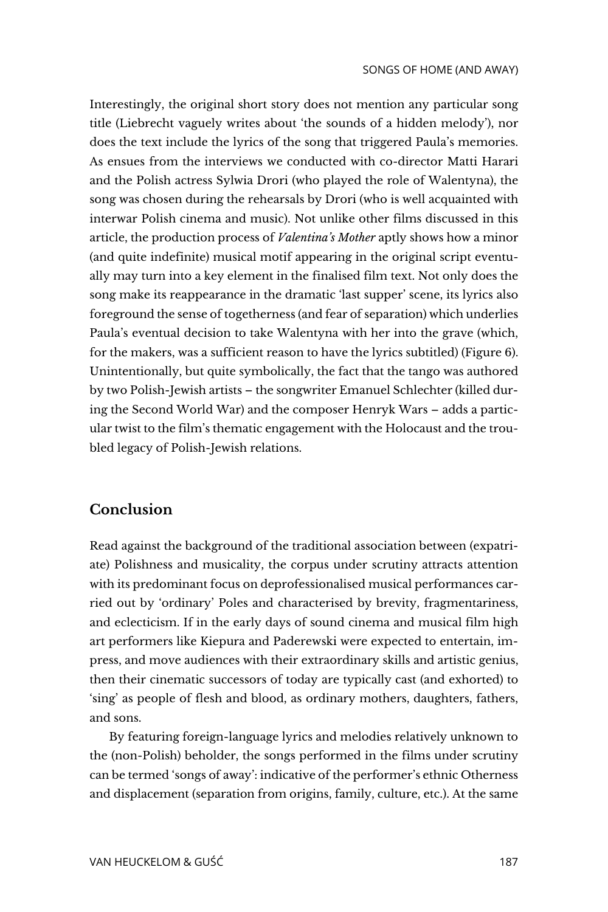Interestingly, the original short story does not mention any particular song title (Liebrecht vaguely writes about 'the sounds of a hidden melody'), nor does the text include the lyrics of the song that triggered Paula's memories. As ensues from the interviews we conducted with co-director Matti Harari and the Polish actress Sylwia Drori (who played the role of Walentyna), the song was chosen during the rehearsals by Drori (who is well acquainted with interwar Polish cinema and music). Not unlike other films discussed in this article, the production process of *Valentina's Mother* aptly shows how a minor (and quite indefinite) musical motif appearing in the original script eventually may turn into a key element in the finalised film text. Not only does the song make its reappearance in the dramatic 'last supper' scene, its lyrics also foreground the sense of togetherness (and fear of separation) which underlies Paula's eventual decision to take Walentyna with her into the grave (which, for the makers, was a sufficient reason to have the lyrics subtitled) (Figure 6). Unintentionally, but quite symbolically, the fact that the tango was authored by two Polish-Jewish artists – the songwriter Emanuel Schlechter (killed during the Second World War) and the composer Henryk Wars – adds a particular twist to the film's thematic engagement with the Holocaust and the troubled legacy of Polish-Jewish relations.

#### **Conclusion**

Read against the background of the traditional association between (expatriate) Polishness and musicality, the corpus under scrutiny attracts attention with its predominant focus on deprofessionalised musical performances carried out by 'ordinary' Poles and characterised by brevity, fragmentariness, and eclecticism. If in the early days of sound cinema and musical film high art performers like Kiepura and Paderewski were expected to entertain, impress, and move audiences with their extraordinary skills and artistic genius, then their cinematic successors of today are typically cast (and exhorted) to 'sing' as people of flesh and blood, as ordinary mothers, daughters, fathers, and sons.

By featuring foreign-language lyrics and melodies relatively unknown to the (non-Polish) beholder, the songs performed in the films under scrutiny can be termed 'songs of away': indicative of the performer's ethnic Otherness and displacement (separation from origins, family, culture, etc.). At the same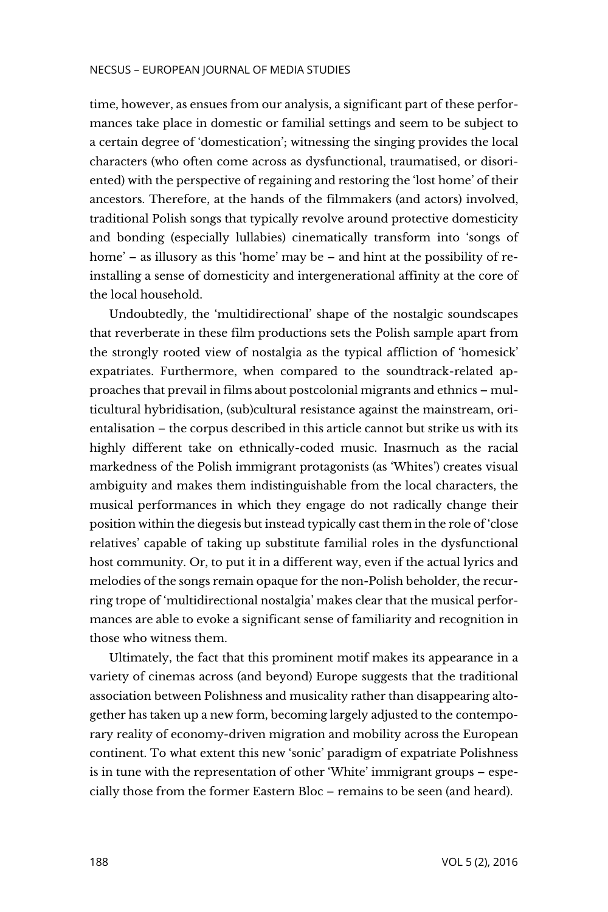time, however, as ensues from our analysis, a significant part of these performances take place in domestic or familial settings and seem to be subject to a certain degree of 'domestication'; witnessing the singing provides the local characters (who often come across as dysfunctional, traumatised, or disoriented) with the perspective of regaining and restoring the 'lost home' of their ancestors. Therefore, at the hands of the filmmakers (and actors) involved, traditional Polish songs that typically revolve around protective domesticity and bonding (especially lullabies) cinematically transform into 'songs of home' – as illusory as this 'home' may be – and hint at the possibility of reinstalling a sense of domesticity and intergenerational affinity at the core of the local household.

Undoubtedly, the 'multidirectional' shape of the nostalgic soundscapes that reverberate in these film productions sets the Polish sample apart from the strongly rooted view of nostalgia as the typical affliction of 'homesick' expatriates. Furthermore, when compared to the soundtrack-related approaches that prevail in films about postcolonial migrants and ethnics – multicultural hybridisation, (sub)cultural resistance against the mainstream, orientalisation – the corpus described in this article cannot but strike us with its highly different take on ethnically-coded music. Inasmuch as the racial markedness of the Polish immigrant protagonists (as 'Whites') creates visual ambiguity and makes them indistinguishable from the local characters, the musical performances in which they engage do not radically change their position within the diegesis but instead typically cast them in the role of 'close relatives' capable of taking up substitute familial roles in the dysfunctional host community. Or, to put it in a different way, even if the actual lyrics and melodies of the songs remain opaque for the non-Polish beholder, the recurring trope of 'multidirectional nostalgia' makes clear that the musical performances are able to evoke a significant sense of familiarity and recognition in those who witness them.

Ultimately, the fact that this prominent motif makes its appearance in a variety of cinemas across (and beyond) Europe suggests that the traditional association between Polishness and musicality rather than disappearing altogether has taken up a new form, becoming largely adjusted to the contemporary reality of economy-driven migration and mobility across the European continent. To what extent this new 'sonic' paradigm of expatriate Polishness is in tune with the representation of other 'White' immigrant groups – especially those from the former Eastern Bloc – remains to be seen (and heard).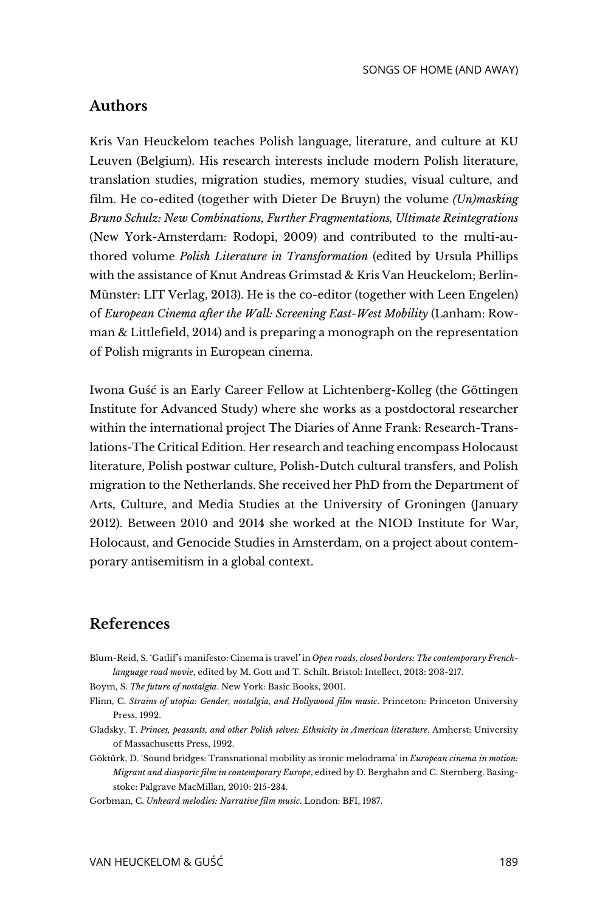## **Authors**

Kris Van Heuckelom teaches Polish language, literature, and culture at KU Leuven (Belgium). His research interests include modern Polish literature, translation studies, migration studies, memory studies, visual culture, and film. He co-edited (together with Dieter De Bruyn) the volume *(Un)masking Bruno Schulz: New Combinations, Further Fragmentations, Ultimate Reintegrations* (New York-Amsterdam: Rodopi, 2009) and contributed to the multi-authored volume *Polish Literature in Transformation* (edited by Ursula Phillips with the assistance of Knut Andreas Grimstad & Kris Van Heuckelom; Berlin-Münster: LIT Verlag, 2013). He is the co-editor (together with Leen Engelen) of *European Cinema after the Wall: Screening East-West Mobility* (Lanham: Rowman & Littlefield, 2014) and is preparing a monograph on the representation of Polish migrants in European cinema.

Iwona Guść is an Early Career Fellow at Lichtenberg-Kolleg (the Göttingen Institute for Advanced Study) where she works as a postdoctoral researcher within the international project The Diaries of Anne Frank: Research-Translations-The Critical Edition. Her research and teaching encompass Holocaust literature, Polish postwar culture, Polish-Dutch cultural transfers, and Polish migration to the Netherlands. She received her PhD from the Department of Arts, Culture, and Media Studies at the University of Groningen (January 2012). Between 2010 and 2014 she worked at the NIOD Institute for War, Holocaust, and Genocide Studies in Amsterdam, on a project about contemporary antisemitism in a global context.

#### **References**

Blum-Reid, S. 'Gatlif's manifesto: Cinema is travel' in *Open roads, closed borders: The contemporary Frenchlanguage road movie*, edited by M. Gott and T. Schilt. Bristol: Intellect, 2013: 203-217.

Boym, S. *The future of nostalgia*. New York: Basic Books, 2001.

- Flinn, C. *Strains of utopia: Gender, nostalgia, and Hollywood film music*. Princeton: Princeton University Press, 1992.
- Gladsky, T. *Princes, peasants, and other Polish selves: Ethnicity in American literature*. Amherst: University of Massachusetts Press, 1992.
- Göktürk, D. 'Sound bridges: Transnational mobility as ironic melodrama' in *European cinema in motion: Migrant and diasporic film in contemporary Europe*, edited by D. Berghahn and C. Sternberg. Basingstoke: Palgrave MacMillan, 2010: 215-234.

Gorbman, C. *Unheard melodies: Narrative film music*. London: BFI, 1987.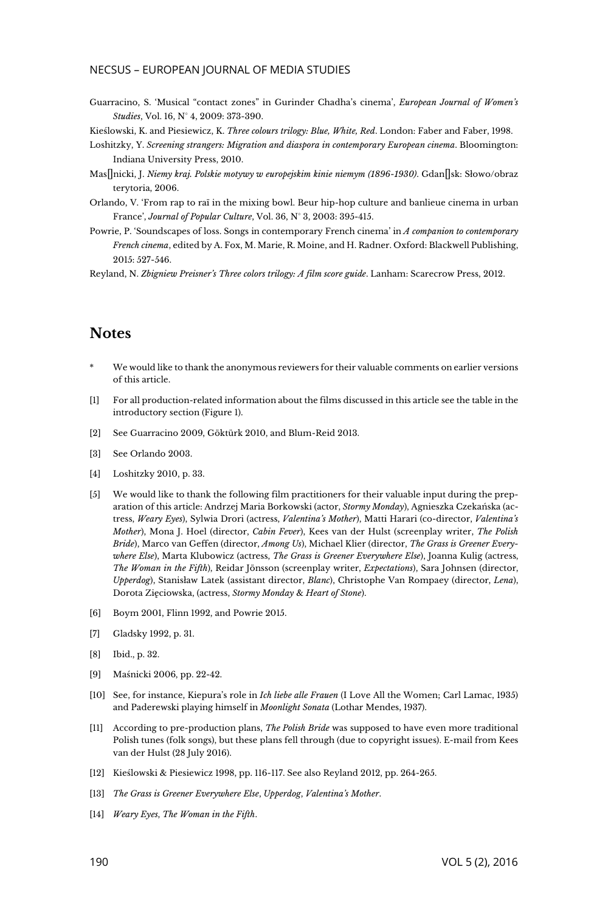#### NECSUS – EUROPEAN JOURNAL OF MEDIA STUDIES

Guarracino, S. 'Musical "contact zones" in Gurinder Chadha's cinema', *European Journal of Women's Studies*, Vol. 16, N° 4, 2009: 373-390.

Kieślowski, K. and Piesiewicz, K. *Three colours trilogy: Blue, White, Red*. London: Faber and Faber, 1998.

- Loshitzky, Y. *Screening strangers: Migration and diaspora in contemporary European cinema*. Bloomington: Indiana University Press, 2010.
- Mas<sup>[</sup>]nicki, J. *Niemy kraj. Polskie motywy w europejskim kinie niemym (1896-1930).* Gdan<sup>[]</sup>sk: Słowo/obraz terytoria, 2006.
- Orlando, V. 'From rap to raï in the mixing bowl. Beur hip-hop culture and banlieue cinema in urban France', *Journal of Popular Culture*, Vol. 36, N° 3, 2003: 395-415.
- Powrie, P. 'Soundscapes of loss. Songs in contemporary French cinema' in *A companion to contemporary French cinema*, edited by A. Fox, M. Marie, R. Moine, and H. Radner. Oxford: Blackwell Publishing, 2015: 527-546.

Reyland, N. *Zbigniew Preisner's Three colors trilogy: A film score guide*. Lanham: Scarecrow Press, 2012.

#### **Notes**

- We would like to thank the anonymous reviewers for their valuable comments on earlier versions of this article.
- [1] For all production-related information about the films discussed in this article see the table in the introductory section (Figure 1).
- [\[2\]](https://necsus-ejms.org/songs-home-away-ethnically-coded-diegetic-music-multidirectional-nostalgia-fiction-films-polish-migrants/#_ednref2) See Guarracino 2009, Göktürk 2010, and Blum-Reid 2013.
- [\[3\]](https://necsus-ejms.org/songs-home-away-ethnically-coded-diegetic-music-multidirectional-nostalgia-fiction-films-polish-migrants/#_ednref3) See Orlando 2003.
- [\[4\]](https://necsus-ejms.org/songs-home-away-ethnically-coded-diegetic-music-multidirectional-nostalgia-fiction-films-polish-migrants/#_ednref4) Loshitzky 2010, p. 33.
- [5] We would like to thank the following film practitioners for their valuable input during the preparation of this article: Andrzej Maria Borkowski (actor, *Stormy Monday*), Agnieszka Czekańska (actress, *Weary Eyes*), Sylwia Drori (actress, *Valentina's Mother*), Matti Harari (co-director, *Valentina's Mother*), Mona J. Hoel (director, *Cabin Fever*), Kees van der Hulst (screenplay writer, *The Polish Bride*), Marco van Geffen (director, *Among Us*), Michael Klier (director, *The Grass is Greener Everywhere Else*), Marta Klubowicz (actress, *The Grass is Greener Everywhere Else*), Joanna Kulig (actress, *The Woman in the Fifth*), Reidar Jönsson (screenplay writer, *Expectations*), Sara Johnsen (director, *Upperdog*), Stanisław Latek (assistant director, *Blanc*), Christophe Van Rompaey (director, *Lena*), Dorota Zięciowska, (actress, *Stormy Monday* & *Heart of Stone*).
- [6] Boym 2001, Flinn 1992, and Powrie 2015.
- [7] Gladsky 1992, p. 31.
- [8] Ibid., p. 32.
- [9] Maśnicki 2006, pp. 22-42.
- [10] See, for instance, Kiepura's role in *Ich liebe alle Frauen* (I Love All the Women; Carl Lamac, 1935) and Paderewski playing himself in *Moonlight Sonata* (Lothar Mendes, 1937).
- [11] According to pre-production plans, *The Polish Bride* was supposed to have even more traditional Polish tunes (folk songs), but these plans fell through (due to copyright issues). E-mail from Kees van der Hulst (28 July 2016).
- [12] Kieślowski & Piesiewicz 1998, pp. 116-117. See also Reyland 2012, pp. 264-265.
- [13] *The Grass is Greener Everywhere Else*, *Upperdog*, *Valentina's Mother*.
- [14] *Weary Eyes*, *The Woman in the Fifth*.